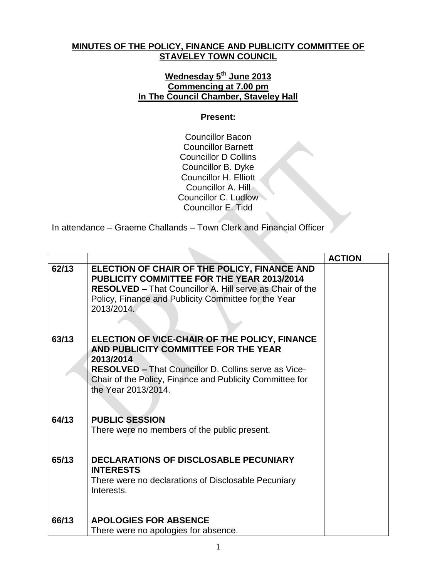## **MINUTES OF THE POLICY, FINANCE AND PUBLICITY COMMITTEE OF STAVELEY TOWN COUNCIL**

## **Wednesday 5 th June 2013 Commencing at 7.00 pm In The Council Chamber, Staveley Hall**

## **Present:**

Councillor Bacon Councillor Barnett Councillor D Collins Councillor B. Dyke Councillor H. Elliott Councillor A. Hill Councillor C. Ludlow Councillor E. Tidd

In attendance – Graeme Challands – Town Clerk and Financial Officer

|       |                                                                                                                                                                                                                                                      | <b>ACTION</b> |
|-------|------------------------------------------------------------------------------------------------------------------------------------------------------------------------------------------------------------------------------------------------------|---------------|
| 62/13 | ELECTION OF CHAIR OF THE POLICY, FINANCE AND<br><b>PUBLICITY COMMITTEE FOR THE YEAR 2013/2014</b><br><b>RESOLVED - That Councillor A. Hill serve as Chair of the</b><br>Policy, Finance and Publicity Committee for the Year<br>2013/2014.           |               |
| 63/13 | ELECTION OF VICE-CHAIR OF THE POLICY, FINANCE<br>AND PUBLICITY COMMITTEE FOR THE YEAR<br>2013/2014<br><b>RESOLVED - That Councillor D. Collins serve as Vice-</b><br>Chair of the Policy, Finance and Publicity Committee for<br>the Year 2013/2014. |               |
| 64/13 | <b>PUBLIC SESSION</b><br>There were no members of the public present.                                                                                                                                                                                |               |
| 65/13 | <b>DECLARATIONS OF DISCLOSABLE PECUNIARY</b><br><b>INTERESTS</b><br>There were no declarations of Disclosable Pecuniary<br>Interests.                                                                                                                |               |
| 66/13 | <b>APOLOGIES FOR ABSENCE</b><br>There were no apologies for absence.                                                                                                                                                                                 |               |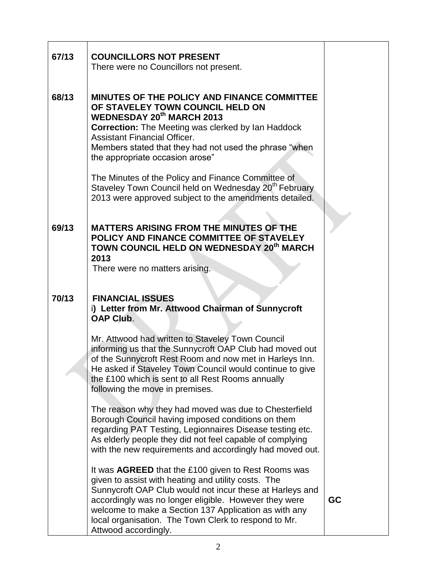| 67/13 | <b>COUNCILLORS NOT PRESENT</b><br>There were no Councillors not present.                                                                                                                                                                                                                                                                                                                                                                                                                                  |  |
|-------|-----------------------------------------------------------------------------------------------------------------------------------------------------------------------------------------------------------------------------------------------------------------------------------------------------------------------------------------------------------------------------------------------------------------------------------------------------------------------------------------------------------|--|
| 68/13 | MINUTES OF THE POLICY AND FINANCE COMMITTEE<br>OF STAVELEY TOWN COUNCIL HELD ON<br><b>WEDNESDAY 20th MARCH 2013</b><br><b>Correction:</b> The Meeting was clerked by Ian Haddock<br><b>Assistant Financial Officer.</b><br>Members stated that they had not used the phrase "when<br>the appropriate occasion arose"<br>The Minutes of the Policy and Finance Committee of<br>Staveley Town Council held on Wednesday 20 <sup>th</sup> February<br>2013 were approved subject to the amendments detailed. |  |
| 69/13 | <b>MATTERS ARISING FROM THE MINUTES OF THE</b><br>POLICY AND FINANCE COMMITTEE OF STAVELEY<br>TOWN COUNCIL HELD ON WEDNESDAY 20 <sup>th</sup> MARCH<br>2013<br>There were no matters arising.                                                                                                                                                                                                                                                                                                             |  |
| 70/13 | <b>FINANCIAL ISSUES</b><br>i) Letter from Mr. Attwood Chairman of Sunnycroft                                                                                                                                                                                                                                                                                                                                                                                                                              |  |
|       | <b>OAP Club.</b>                                                                                                                                                                                                                                                                                                                                                                                                                                                                                          |  |
|       | Mr. Attwood had written to Staveley Town Council<br>informing us that the Sunnycroft OAP Club had moved out<br>of the Sunnycroft Rest Room and now met in Harleys Inn.<br>He asked if Staveley Town Council would continue to give<br>the £100 which is sent to all Rest Rooms annually<br>following the move in premises.                                                                                                                                                                                |  |
|       | The reason why they had moved was due to Chesterfield<br>Borough Council having imposed conditions on them<br>regarding PAT Testing, Legionnaires Disease testing etc.<br>As elderly people they did not feel capable of complying<br>with the new requirements and accordingly had moved out.                                                                                                                                                                                                            |  |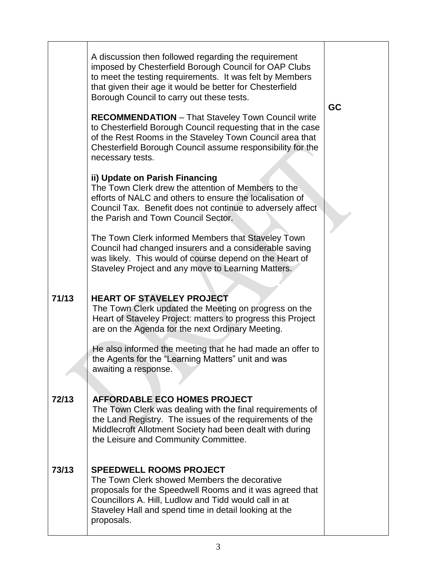|       | A discussion then followed regarding the requirement<br>imposed by Chesterfield Borough Council for OAP Clubs<br>to meet the testing requirements. It was felt by Members<br>that given their age it would be better for Chesterfield<br>Borough Council to carry out these tests.<br><b>RECOMMENDATION</b> - That Staveley Town Council write<br>to Chesterfield Borough Council requesting that in the case<br>of the Rest Rooms in the Staveley Town Council area that<br>Chesterfield Borough Council assume responsibility for the<br>necessary tests. | GC |
|-------|-------------------------------------------------------------------------------------------------------------------------------------------------------------------------------------------------------------------------------------------------------------------------------------------------------------------------------------------------------------------------------------------------------------------------------------------------------------------------------------------------------------------------------------------------------------|----|
|       | ii) Update on Parish Financing<br>The Town Clerk drew the attention of Members to the<br>efforts of NALC and others to ensure the localisation of<br>Council Tax. Benefit does not continue to adversely affect<br>the Parish and Town Council Sector.                                                                                                                                                                                                                                                                                                      |    |
|       | The Town Clerk informed Members that Staveley Town<br>Council had changed insurers and a considerable saving<br>was likely. This would of course depend on the Heart of<br>Staveley Project and any move to Learning Matters.                                                                                                                                                                                                                                                                                                                               |    |
| 71/13 | <b>HEART OF STAVELEY PROJECT</b><br>The Town Clerk updated the Meeting on progress on the<br>Heart of Staveley Project: matters to progress this Project<br>are on the Agenda for the next Ordinary Meeting.                                                                                                                                                                                                                                                                                                                                                |    |
|       | He also informed the meeting that he had made an offer to<br>the Agents for the "Learning Matters" unit and was<br>awaiting a response.                                                                                                                                                                                                                                                                                                                                                                                                                     |    |
| 72/13 | <b>AFFORDABLE ECO HOMES PROJECT</b><br>The Town Clerk was dealing with the final requirements of<br>the Land Registry. The issues of the requirements of the<br>Middlecroft Allotment Society had been dealt with during<br>the Leisure and Community Committee.                                                                                                                                                                                                                                                                                            |    |
| 73/13 | <b>SPEEDWELL ROOMS PROJECT</b><br>The Town Clerk showed Members the decorative<br>proposals for the Speedwell Rooms and it was agreed that<br>Councillors A. Hill, Ludlow and Tidd would call in at<br>Staveley Hall and spend time in detail looking at the<br>proposals.                                                                                                                                                                                                                                                                                  |    |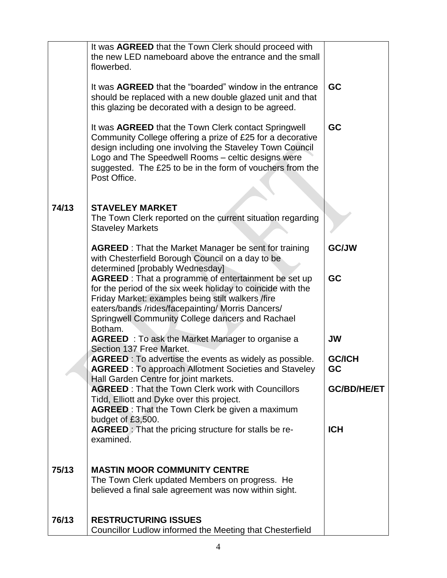|       | It was AGREED that the Town Clerk should proceed with<br>the new LED nameboard above the entrance and the small<br>flowerbed.                                                                                                                                                                                            |                     |
|-------|--------------------------------------------------------------------------------------------------------------------------------------------------------------------------------------------------------------------------------------------------------------------------------------------------------------------------|---------------------|
|       | It was AGREED that the "boarded" window in the entrance<br>should be replaced with a new double glazed unit and that<br>this glazing be decorated with a design to be agreed.                                                                                                                                            | GC                  |
|       | It was <b>AGREED</b> that the Town Clerk contact Springwell<br>Community College offering a prize of £25 for a decorative<br>design including one involving the Staveley Town Council<br>Logo and The Speedwell Rooms - celtic designs were<br>suggested. The £25 to be in the form of vouchers from the<br>Post Office. | GC                  |
|       |                                                                                                                                                                                                                                                                                                                          |                     |
| 74/13 | <b>STAVELEY MARKET</b><br>The Town Clerk reported on the current situation regarding<br><b>Staveley Markets</b>                                                                                                                                                                                                          |                     |
|       | <b>AGREED</b> : That the Market Manager be sent for training<br>with Chesterfield Borough Council on a day to be<br>determined [probably Wednesday]                                                                                                                                                                      | <b>GC/JW</b>        |
|       | AGREED : That a programme of entertainment be set up<br>for the period of the six week holiday to coincide with the<br>Friday Market: examples being stilt walkers /fire<br>eaters/bands /rides/facepainting/ Morris Dancers/<br>Springwell Community College dancers and Rachael<br>Botham.                             | GC                  |
|       | <b>AGREED</b> : To ask the Market Manager to organise a<br>Section 137 Free Market.                                                                                                                                                                                                                                      | <b>JW</b>           |
|       | <b>AGREED</b> : To advertise the events as widely as possible.<br><b>AGREED</b> : To approach Allotment Societies and Staveley<br>Hall Garden Centre for joint markets.                                                                                                                                                  | <b>GC/ICH</b><br>GC |
|       | <b>AGREED: That the Town Clerk work with Councillors</b><br>Tidd, Elliott and Dyke over this project.<br><b>AGREED</b> : That the Town Clerk be given a maximum                                                                                                                                                          | <b>GC/BD/HE/ET</b>  |
|       | budget of £3,500.                                                                                                                                                                                                                                                                                                        |                     |
|       | AGREED: That the pricing structure for stalls be re-<br>examined.                                                                                                                                                                                                                                                        | <b>ICH</b>          |
| 75/13 | <b>MASTIN MOOR COMMUNITY CENTRE</b>                                                                                                                                                                                                                                                                                      |                     |
|       | The Town Clerk updated Members on progress. He<br>believed a final sale agreement was now within sight.                                                                                                                                                                                                                  |                     |
| 76/13 | <b>RESTRUCTURING ISSUES</b><br>Councillor Ludlow informed the Meeting that Chesterfield                                                                                                                                                                                                                                  |                     |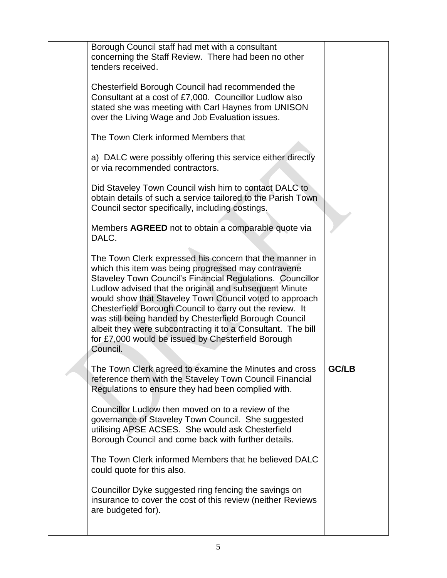| Borough Council staff had met with a consultant<br>concerning the Staff Review. There had been no other<br>tenders received.                                                                                                                                                                                                                                                                                                                                                                                                                             |              |
|----------------------------------------------------------------------------------------------------------------------------------------------------------------------------------------------------------------------------------------------------------------------------------------------------------------------------------------------------------------------------------------------------------------------------------------------------------------------------------------------------------------------------------------------------------|--------------|
| Chesterfield Borough Council had recommended the<br>Consultant at a cost of £7,000. Councillor Ludlow also<br>stated she was meeting with Carl Haynes from UNISON<br>over the Living Wage and Job Evaluation issues.                                                                                                                                                                                                                                                                                                                                     |              |
| The Town Clerk informed Members that                                                                                                                                                                                                                                                                                                                                                                                                                                                                                                                     |              |
| a) DALC were possibly offering this service either directly<br>or via recommended contractors.                                                                                                                                                                                                                                                                                                                                                                                                                                                           |              |
| Did Staveley Town Council wish him to contact DALC to<br>obtain details of such a service tailored to the Parish Town<br>Council sector specifically, including costings.                                                                                                                                                                                                                                                                                                                                                                                |              |
| Members AGREED not to obtain a comparable quote via<br>DALC.                                                                                                                                                                                                                                                                                                                                                                                                                                                                                             |              |
| The Town Clerk expressed his concern that the manner in<br>which this item was being progressed may contravene<br>Staveley Town Council's Financial Regulations. Councillor<br>Ludlow advised that the original and subsequent Minute<br>would show that Staveley Town Council voted to approach<br>Chesterfield Borough Council to carry out the review. It<br>was still being handed by Chesterfield Borough Council<br>albeit they were subcontracting it to a Consultant. The bill<br>for £7,000 would be issued by Chesterfield Borough<br>Council. |              |
| The Town Clerk agreed to examine the Minutes and cross<br>reference them with the Staveley Town Council Financial<br>Regulations to ensure they had been complied with.                                                                                                                                                                                                                                                                                                                                                                                  | <b>GC/LB</b> |
| Councillor Ludlow then moved on to a review of the<br>governance of Staveley Town Council. She suggested<br>utilising APSE ACSES. She would ask Chesterfield<br>Borough Council and come back with further details.                                                                                                                                                                                                                                                                                                                                      |              |
| The Town Clerk informed Members that he believed DALC<br>could quote for this also.                                                                                                                                                                                                                                                                                                                                                                                                                                                                      |              |
| Councillor Dyke suggested ring fencing the savings on<br>insurance to cover the cost of this review (neither Reviews<br>are budgeted for).                                                                                                                                                                                                                                                                                                                                                                                                               |              |
|                                                                                                                                                                                                                                                                                                                                                                                                                                                                                                                                                          |              |